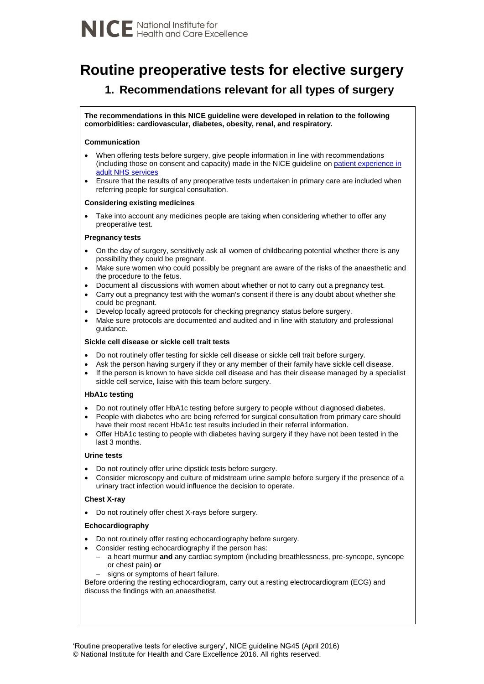# **Routine preoperative tests for elective surgery**

# **1. Recommendations relevant for all types of surgery**

**The recommendations in this NICE guideline were developed in relation to the following comorbidities: cardiovascular, diabetes, obesity, renal, and respiratory.**

### **Communication**

- When offering tests before surgery, give people information in line with recommendations (including those on consent and capacity) made in the NICE guideline on [patient experience in](https://www.nice.org.uk/guidance/cg138)  [adult NHS services](https://www.nice.org.uk/guidance/cg138)
- Ensure that the results of any preoperative tests undertaken in primary care are included when referring people for surgical consultation.

#### **Considering existing medicines**

 Take into account any medicines people are taking when considering whether to offer any preoperative test.

#### **Pregnancy tests**

- On the day of surgery, sensitively ask all women of childbearing potential whether there is any possibility they could be pregnant.
- Make sure women who could possibly be pregnant are aware of the risks of the anaesthetic and the procedure to the fetus.
- Document all discussions with women about whether or not to carry out a pregnancy test.
- Carry out a pregnancy test with the woman's consent if there is any doubt about whether she could be pregnant.
- Develop locally agreed protocols for checking pregnancy status before surgery.
- Make sure protocols are documented and audited and in line with statutory and professional guidance.

#### **Sickle cell disease or sickle cell trait tests**

- Do not routinely offer testing for sickle cell disease or sickle cell trait before surgery.
- Ask the person having surgery if they or any member of their family have sickle cell disease.
- If the person is known to have sickle cell disease and has their disease managed by a specialist sickle cell service, liaise with this team before surgery.

#### **HbA1c testing**

- Do not routinely offer HbA1c testing before surgery to people without diagnosed diabetes.
- People with diabetes who are being referred for surgical consultation from primary care should have their most recent HbA1c test results included in their referral information.
- Offer HbA1c testing to people with diabetes having surgery if they have not been tested in the last 3 months.

#### **Urine tests**

- Do not routinely offer urine dipstick tests before surgery.
- Consider microscopy and culture of midstream urine sample before surgery if the presence of a urinary tract infection would influence the decision to operate.

## **Chest X-ray**

Do not routinely offer chest X-rays before surgery.

## **Echocardiography**

- Do not routinely offer resting echocardiography before surgery.
- Consider resting echocardiography if the person has:
	- a heart murmur **and** any cardiac symptom (including breathlessness, pre-syncope, syncope or chest pain) **or**
	- signs or symptoms of heart failure.

Before ordering the resting echocardiogram, carry out a resting electrocardiogram (ECG) and discuss the findings with an anaesthetist.